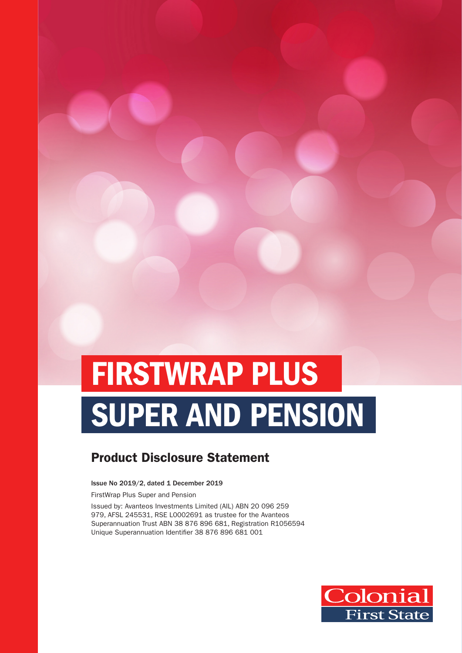# FIRSTWRAP PLUS SUPER AND PENSION

### Product Disclosure Statement

Issue No 2019/2, dated 1 December 2019

FirstWrap Plus Super and Pension

Issued by: Avanteos Investments Limited (AIL) ABN 20 096 259 979, AFSL 245531, RSE L0002691 as trustee for the Avanteos Superannuation Trust ABN 38 876 896 681, Registration R1056594 Unique Superannuation Identifier 38 876 896 681 001

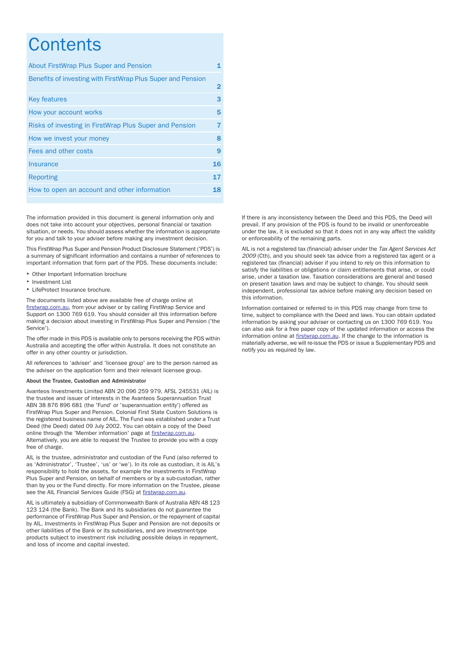### **Contents**

| About FirstWrap Plus Super and Pension                      | 1              |
|-------------------------------------------------------------|----------------|
| Benefits of investing with FirstWrap Plus Super and Pension | $\overline{2}$ |
| <b>Key features</b>                                         | 3              |
| How your account works                                      | 5              |
| Risks of investing in FirstWrap Plus Super and Pension      | 7              |
| How we invest your money                                    | 8              |
| Fees and other costs                                        | 9              |
| Insurance                                                   | 16             |
| Reporting                                                   | 17             |
| How to open an account and other information                | 18             |

The information provided in this document is general information only and does not take into account your objectives, personal financial or taxation situation, or needs. You should assess whether the information is appropriate for you and talk to your adviser before making any investment decision.

This FirstWrap Plus Super and Pension Product Disclosure Statement ('PDS') is a summary of significant information and contains a number of references to important information that form part of the PDS. These documents include:

- 
- 
- LifeProtect Insurance brochure.

The documents listed above are available free of charge online at [firstwrap.com.au,](https://firstwrap.com.au) from your adviser or by calling FirstWrap Service and Support on 1300 769 619. You should consider all this information before making a decision about investing in FirstWrap Plus Super and Pension ('the Service').

The offer made in this PDS is available only to persons receiving the PDS within Australia and accepting the offer within Australia. It does not constitute an offer in any other country or jurisdiction.

All references to 'adviser' and 'licensee group' are to the person named as the adviser on the application form and their relevant licensee group.

#### About the Trustee, Custodian and Administrator

Avanteos Investments Limited ABN 20 096 259 979, AFSL 245531 (AIL) is the trustee and issuer of interests in the Avanteos Superannuation Trust ABN 38 876 896 681 (the 'Fund' or 'superannuation entity') offered as FirstWrap Plus Super and Pension. Colonial First State Custom Solutions is the registered business name of AIL. The Fund was established under a Trust Deed (the Deed) dated 09 July 2002. You can obtain a copy of the Deed online through the 'Member information' page at [firstwrap.com.au](https://firstwrap.com.au). Alternatively, you are able to request the Trustee to provide you with a copy free of charge.

AIL is the trustee, administrator and custodian of the Fund (also referred to as 'Administrator', 'Trustee', 'us' or 'we'). In its role as custodian, it is AIL's responsibility to hold the assets, for example the investments in FirstWrap Plus Super and Pension, on behalf of members or by a sub-custodian, rather than by you or the Fund directly. For more information on the Trustee, please see the AIL Financial Services Guide (FSG) at [firstwrap.com.au.](https://firstwrap.com.au)

AIL is ultimately a subsidiary of Commonwealth Bank of Australia ABN 48 123 123 124 (the Bank). The Bank and its subsidiaries do not guarantee the performance of FirstWrap Plus Super and Pension, or the repayment of capital by AIL. Investments in FirstWrap Plus Super and Pension are not deposits or other liabilities of the Bank or its subsidiaries, and are investment-type products subject to investment risk including possible delays in repayment, and loss of income and capital invested.

If there is any inconsistency between the Deed and this PDS, the Deed will prevail. If any provision of the PDS is found to be invalid or unenforceable under the law, it is excluded so that it does not in any way affect the validity or enforceability of the remaining parts.

AIL is not a registered tax (financial) adviser under the Tax Agent Services Act 2009 (Cth), and you should seek tax advice from a registered tax agent or a registered tax (financial) adviser if you intend to rely on this information to satisfy the liabilities or obligations or claim entitlements that arise, or could • Other Important Information brochure arise, under a taxation law. Taxation law. Taxation law. Taxation law. Taxation law. Taxation considerations are general and based in the subject to change of the based and based in t on present taxation laws and may be subject to change. You should seek independent, professional tax advice before making any decision based on this information.

> Information contained or referred to in this PDS may change from time to time, subject to compliance with the Deed and laws. You can obtain updated information by asking your adviser or contacting us on 1300 769 619. You can also ask for a free paper copy of the updated information or access the information online at [firstwrap.com.au](https://firstwrap.com.au). If the change to the information is materially adverse, we will re-issue the PDS or issue a Supplementary PDS and notify you as required by law.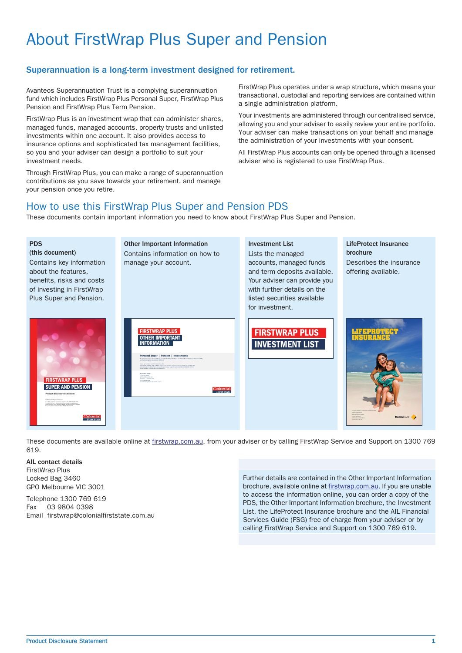## About FirstWrap Plus Super and Pension

#### <span id="page-2-0"></span>Superannuation is a long-term investment designed for retirement.

Avanteos Superannuation Trust is a complying superannuation fund which includes FirstWrap Plus Personal Super, FirstWrap Plus Pension and FirstWrap Plus Term Pension.

FirstWrap Plus is an investment wrap that can administer shares, managed funds, managed accounts, property trusts and unlisted investments within one account. It also provides access to insurance options and sophisticated tax management facilities, so you and your adviser can design a portfolio to suit your investment needs.

Through FirstWrap Plus, you can make a range of superannuation contributions as you save towards your retirement, and manage your pension once you retire.

FirstWrap Plus operates under a wrap structure, which means your transactional, custodial and reporting services are contained within a single administration platform.

Your investments are administered through our centralised service, allowing you and your adviser to easily review your entire portfolio. Your adviser can make transactions on your behalf and manage the administration of your investments with your consent.

All FirstWrap Plus accounts can only be opened through a licensed adviser who is registered to use FirstWrap Plus.

#### How to use this FirstWrap Plus Super and Pension PDS

These documents contain important information you need to know about FirstWrap Plus Super and Pension.



These documents are available online at [firstwrap.com.au,](https://firstwrap.com.au) from your adviser or by calling FirstWrap Service and Support on 1300 769 619.

AIL contact details FirstWrap Plus Locked Bag 3460 GPO Melbourne VIC 3001

Telephone 1300 769 619 Fax 03 9804 0398 Email firstwrap@colonialfirststate.com.au

Further details are contained in the Other Important Information brochure, available online at [firstwrap.com.au.](https://firstwrap.com.au) If you are unable to access the information online, you can order a copy of the PDS, the Other Important Information brochure, the Investment List, the LifeProtect Insurance brochure and the AIL Financial Services Guide (FSG) free of charge from your adviser or by calling FirstWrap Service and Support on 1300 769 619.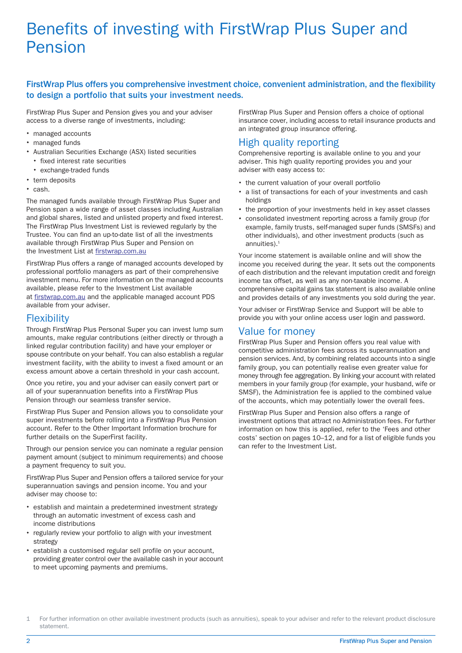### Benefits of investing with FirstWrap Plus Super and Pension

#### <span id="page-3-0"></span>FirstWrap Plus offers you comprehensive investment choice, convenient administration, and the flexibility to design a portfolio that suits your investment needs.

FirstWrap Plus Super and Pension gives you and your adviser access to a diverse range of investments, including:

- managed accounts
- managed funds
- Australian Securities Exchange (ASX) listed securities
- fixed interest rate securities
- exchange-traded funds
- term deposits
- $\cdot$  cash.

The managed funds available through FirstWrap Plus Super and Pension span a wide range of asset classes including Australian and global shares, listed and unlisted property and fixed interest. The FirstWrap Plus Investment List is reviewed regularly by the Trustee. You can find an up-to-date list of all the investments available through FirstWrap Plus Super and Pension on the Investment List at [firstwrap.com.au](https://firstwrap.com.au)

FirstWrap Plus offers a range of managed accounts developed by professional portfolio managers as part of their comprehensive investment menu. For more information on the managed accounts available, please refer to the Investment List available at [firstwrap.com.au](https://firstwrap.com.au) and the applicable managed account PDS available from your adviser.

#### **Flexibility**

Through FirstWrap Plus Personal Super you can invest lump sum amounts, make regular contributions (either directly or through a linked regular contribution facility) and have your employer or spouse contribute on your behalf. You can also establish a regular investment facility, with the ability to invest a fixed amount or an excess amount above a certain threshold in your cash account.

Once you retire, you and your adviser can easily convert part or all of your superannuation benefits into a FirstWrap Plus Pension through our seamless transfer service.

FirstWrap Plus Super and Pension allows you to consolidate your super investments before rolling into a FirstWrap Plus Pension account. Refer to the Other Important Information brochure for further details on the SuperFirst facility.

Through our pension service you can nominate a regular pension payment amount (subject to minimum requirements) and choose a payment frequency to suit you.

FirstWrap Plus Super and Pension offers a tailored service for your superannuation savings and pension income. You and your adviser may choose to:

- establish and maintain a predetermined investment strategy through an automatic investment of excess cash and income distributions
- $\bullet$ regularly review your portfolio to align with your investment strategy
- establish a customised regular sell profile on your account, providing greater control over the available cash in your account to meet upcoming payments and premiums.

FirstWrap Plus Super and Pension offers a choice of optional insurance cover, including access to retail insurance products and an integrated group insurance offering.

#### High quality reporting

Comprehensive reporting is available online to you and your adviser. This high quality reporting provides you and your adviser with easy access to:

- the current valuation of your overall portfolio
- a list of transactions for each of your investments and cash holdings
- the proportion of your investments held in key asset classes
- consolidated investment reporting across a family group (for example, family trusts, self-managed super funds (SMSFs) and other individuals), and other investment products (such as annuities). $<sup>1</sup>$ </sup>

Your income statement is available online and will show the income you received during the year. It sets out the components of each distribution and the relevant imputation credit and foreign income tax offset, as well as any non-taxable income. A comprehensive capital gains tax statement is also available online and provides details of any investments you sold during the year.

Your adviser or FirstWrap Service and Support will be able to provide you with your online access user login and password.

#### Value for money

FirstWrap Plus Super and Pension offers you real value with competitive administration fees across its superannuation and pension services. And, by combining related accounts into a single family group, you can potentially realise even greater value for money through fee aggregation. By linking your account with related members in your family group (for example, your husband, wife or SMSF), the Administration fee is applied to the combined value of the accounts, which may potentially lower the overall fees.

FirstWrap Plus Super and Pension also offers a range of investment options that attract no Administration fees. For further information on how this is applied, refer to the 'Fees and other costs' section on pages [10](#page-11-0)–12, and for a list of eligible funds you can refer to the Investment List.

<sup>1</sup> For further information on other available investment products (such as annuities), speak to your adviser and refer to the relevant product disclosure statement.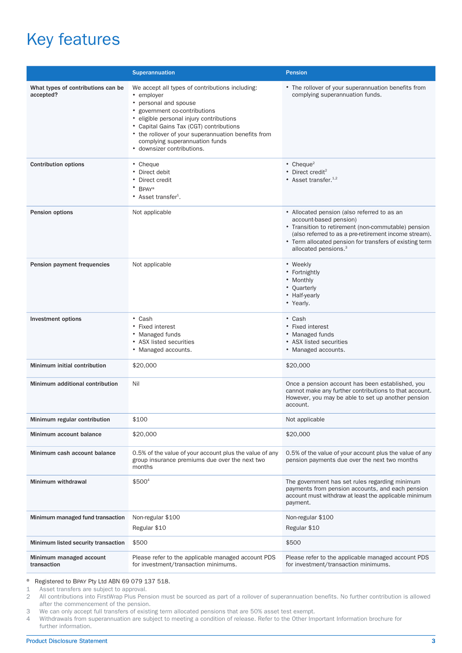# Key features

<span id="page-4-0"></span>

|                                                 | Superannuation                                                                                                                                                                                                                                                                                                                        | <b>Pension</b>                                                                                                                                                                                                                                                                       |
|-------------------------------------------------|---------------------------------------------------------------------------------------------------------------------------------------------------------------------------------------------------------------------------------------------------------------------------------------------------------------------------------------|--------------------------------------------------------------------------------------------------------------------------------------------------------------------------------------------------------------------------------------------------------------------------------------|
| What types of contributions can be<br>accepted? | We accept all types of contributions including:<br>• employer<br>• personal and spouse<br>• government co-contributions<br>· eligible personal injury contributions<br>• Capital Gains Tax (CGT) contributions<br>• the rollover of your superannuation benefits from<br>complying superannuation funds<br>• downsizer contributions. | • The rollover of your superannuation benefits from<br>complying superannuation funds.                                                                                                                                                                                               |
| <b>Contribution options</b>                     | • Cheque<br>• Direct debit<br>• Direct credit<br>* BPAY®<br>• Asset transfer <sup>1</sup> .                                                                                                                                                                                                                                           | • Cheque <sup>2</sup><br>$\bullet$ Direct credit <sup>2</sup><br>• Asset transfer. $1,2$                                                                                                                                                                                             |
| Pension options                                 | Not applicable                                                                                                                                                                                                                                                                                                                        | • Allocated pension (also referred to as an<br>account-based pension)<br>• Transition to retirement (non-commutable) pension<br>(also referred to as a pre-retirement income stream).<br>• Term allocated pension for transfers of existing term<br>allocated pensions. <sup>3</sup> |
| Pension payment frequencies                     | Not applicable                                                                                                                                                                                                                                                                                                                        | • Weekly<br>• Fortnightly<br>• Monthly<br>• Quarterly<br>• Half-yearly<br>• Yearly.                                                                                                                                                                                                  |
| <b>Investment options</b>                       | $\bullet$ Cash<br>• Fixed interest<br>• Managed funds<br>• ASX listed securities<br>• Managed accounts.                                                                                                                                                                                                                               | $\bullet$ Cash<br>• Fixed interest<br>• Managed funds<br>• ASX listed securities<br>• Managed accounts.                                                                                                                                                                              |
| Minimum initial contribution                    | \$20,000                                                                                                                                                                                                                                                                                                                              | \$20,000                                                                                                                                                                                                                                                                             |
| Minimum additional contribution                 | Nil                                                                                                                                                                                                                                                                                                                                   | Once a pension account has been established, you<br>cannot make any further contributions to that account.<br>However, you may be able to set up another pension<br>account.                                                                                                         |
| Minimum regular contribution                    | \$100                                                                                                                                                                                                                                                                                                                                 | Not applicable                                                                                                                                                                                                                                                                       |
| Minimum account balance                         | \$20,000                                                                                                                                                                                                                                                                                                                              | \$20,000                                                                                                                                                                                                                                                                             |
| Minimum cash account balance                    | 0.5% of the value of your account plus the value of any<br>group insurance premiums due over the next two<br>months                                                                                                                                                                                                                   | 0.5% of the value of your account plus the value of any<br>pension payments due over the next two months                                                                                                                                                                             |
| Minimum withdrawal                              | $$500^4$                                                                                                                                                                                                                                                                                                                              | The government has set rules regarding minimum<br>payments from pension accounts, and each pension<br>account must withdraw at least the applicable minimum<br>payment.                                                                                                              |
| Minimum managed fund transaction                | Non-regular \$100                                                                                                                                                                                                                                                                                                                     | Non-regular \$100                                                                                                                                                                                                                                                                    |
|                                                 | Regular \$10                                                                                                                                                                                                                                                                                                                          | Regular \$10                                                                                                                                                                                                                                                                         |
| Minimum listed security transaction             | \$500                                                                                                                                                                                                                                                                                                                                 | \$500                                                                                                                                                                                                                                                                                |
| Minimum managed account<br>transaction          | Please refer to the applicable managed account PDS<br>for investment/transaction minimums.                                                                                                                                                                                                                                            | Please refer to the applicable managed account PDS<br>for investment/transaction minimums.                                                                                                                                                                                           |

### <span id="page-4-2"></span><span id="page-4-1"></span>® Registered to BPAY Pty Ltd ABN 69 079 137 518.

1 Asset transfers are subject to approval.<br>2 All contributions into FirstWrap Plus Pen 2 All contributions into FirstWrap Plus Pension must be sourced as part of a rollover of superannuation benefits. No further contribution is allowed after the commencement of the pension.

3 We can only accept full transfers of existing term allocated pensions that are 50% asset test exempt.<br>4 Withdrawals from superannuation are subject to meeting a condition of release. Refer to the Other Im

4 Withdrawals from superannuation are subject to meeting a condition of release. Refer to the Other Important Information brochure for further information.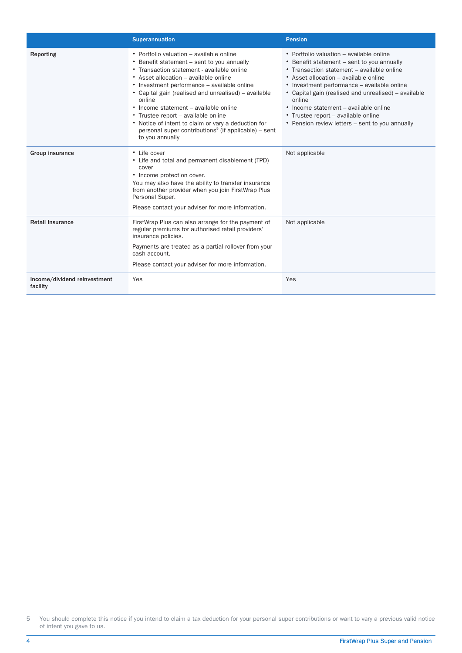|                                          | Superannuation                                                                                                                                                                                                                                                                                                                                                                                                                                                                                                               | <b>Pension</b>                                                                                                                                                                                                                                                                                                                                                                                                                    |
|------------------------------------------|------------------------------------------------------------------------------------------------------------------------------------------------------------------------------------------------------------------------------------------------------------------------------------------------------------------------------------------------------------------------------------------------------------------------------------------------------------------------------------------------------------------------------|-----------------------------------------------------------------------------------------------------------------------------------------------------------------------------------------------------------------------------------------------------------------------------------------------------------------------------------------------------------------------------------------------------------------------------------|
| Reporting                                | • Portfolio valuation - available online<br>• Benefit statement – sent to you annually<br>• Transaction statement - available online<br>• Asset allocation – available online<br>• Investment performance – available online<br>• Capital gain (realised and unrealised) – available<br>online<br>• Income statement – available online<br>• Trustee report – available online<br>• Notice of intent to claim or vary a deduction for<br>personal super contributions <sup>5</sup> (if applicable) – sent<br>to you annually | • Portfolio valuation – available online<br>• Benefit statement – sent to you annually<br>• Transaction statement – available online<br>• Asset allocation – available online<br>• Investment performance – available online<br>• Capital gain (realised and unrealised) – available<br>online<br>• Income statement – available online<br>• Trustee report – available online<br>• Pension review letters – sent to you annually |
| Group insurance                          | • Life cover<br>• Life and total and permanent disablement (TPD)<br>cover<br>• Income protection cover.<br>You may also have the ability to transfer insurance<br>from another provider when you join FirstWrap Plus<br>Personal Super.<br>Please contact your adviser for more information.                                                                                                                                                                                                                                 | Not applicable                                                                                                                                                                                                                                                                                                                                                                                                                    |
| <b>Retail insurance</b>                  | FirstWrap Plus can also arrange for the payment of<br>regular premiums for authorised retail providers'<br>insurance policies.<br>Payments are treated as a partial rollover from your<br>cash account.<br>Please contact your adviser for more information.                                                                                                                                                                                                                                                                 | Not applicable                                                                                                                                                                                                                                                                                                                                                                                                                    |
| Income/dividend reinvestment<br>facility | Yes                                                                                                                                                                                                                                                                                                                                                                                                                                                                                                                          | Yes                                                                                                                                                                                                                                                                                                                                                                                                                               |

5 You should complete this notice if you intend to claim a tax deduction for your personal super contributions or want to vary a previous valid notice of intent you gave to us.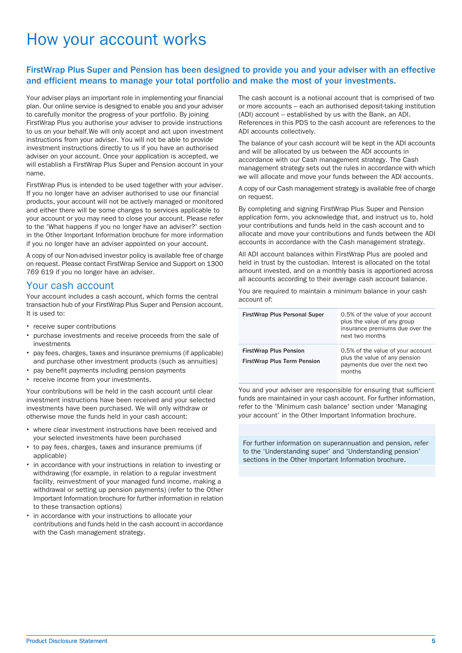### How your account works

#### <span id="page-6-0"></span>FirstWrap Plus Super and Pension has been designed to provide you and your adviser with an effective and efficient means to manage your total portfolio and make the most of your investments.

Your adviser plays an important role in implementing your financial plan. Our online service is designed to enable you and your adviser to carefully monitor the progress of your portfolio. By joining FirstWrap Plus you authorise your adviser to provide instructions to us on your behalf.We will only accept and act upon investment instructions from your adviser. You will not be able to provide investment instructions directly to us if you have an authorised adviser on your account. Once your application is accepted, we will establish a FirstWrap Plus Super and Pension account in your name.

FirstWrap Plus is intended to be used together with your adviser. If you no longer have an adviser authorised to use our financial products, your account will not be actively managed or monitored and either there will be some changes to services applicable to your account or you may need to close your account. Please refer to the 'What happens if you no longer have an adviser?' section in the Other Important Information brochure for more information if you no longer have an adviser appointed on your account.

A copy of our Non-advised investor policy is available free of charge on request. Please contact FirstWrap Service and Support on 1300 769 619 if you no longer have an adviser.

#### Your cash account

Your account includes a cash account, which forms the central transaction hub of your FirstWrap Plus Super and Pension account. It is used to:

- receive super contributions
- purchase investments and receive proceeds from the sale of investments
- pay fees, charges, taxes and insurance premiums (if applicable) and purchase other investment products (such as annuities)
- pay benefit payments including pension payments
- receive income from your investments.

Your contributions will be held in the cash account until clear investment instructions have been received and your selected investments have been purchased. We will only withdraw or otherwise move the funds held in your cash account:

- where clear investment instructions have been received and your selected investments have been purchased
- to pay fees, charges, taxes and insurance premiums (if applicable)
- in accordance with your instructions in relation to investing or withdrawing (for example, in relation to a regular investment facility, reinvestment of your managed fund income, making a withdrawal or setting up pension payments) (refer to the Other Important Information brochure for further information in relation to these transaction options)
- in accordance with your instructions to allocate your contributions and funds held in the cash account in accordance with the Cash management strategy.

The cash account is a notional account that is comprised of two or more accounts – each an authorised deposit-taking institution (ADI) account – established by us with the Bank, an ADI. References in this PDS to the cash account are references to the ADI accounts collectively.

The balance of your cash account will be kept in the ADI accounts and will be allocated by us between the ADI accounts in accordance with our Cash management strategy. The Cash management strategy sets out the rules in accordance with which we will allocate and move your funds between the ADI accounts.

A copy of our Cash management strategy is available free of charge on request.

By completing and signing FirstWrap Plus Super and Pension application form, you acknowledge that, and instruct us to, hold your contributions and funds held in the cash account and to allocate and move your contributions and funds between the ADI accounts in accordance with the Cash management strategy.

All ADI account balances within FirstWrap Plus are pooled and held in trust by the custodian. Interest is allocated on the total amount invested, and on a monthly basis is apportioned across all accounts according to their average cash account balance.

You are required to maintain a minimum balance in your cash account of:

| <b>FirstWrap Plus Personal Super</b>                                | 0.5% of the value of your account<br>plus the value of any group<br>insurance premiums due over the<br>next two months |
|---------------------------------------------------------------------|------------------------------------------------------------------------------------------------------------------------|
| <b>FirstWrap Plus Pension</b><br><b>FirstWrap Plus Term Pension</b> | 0.5% of the value of your account<br>plus the value of any pension<br>payments due over the next two<br>months         |

You and your adviser are responsible for ensuring that sufficient funds are maintained in your cash account. For further information, refer to the 'Minimum cash balance' section under 'Managing your account' in the Other Important Information brochure.

For further information on superannuation and pension, refer to the 'Understanding super' and 'Understanding pension' sections in the Other Important Information brochure.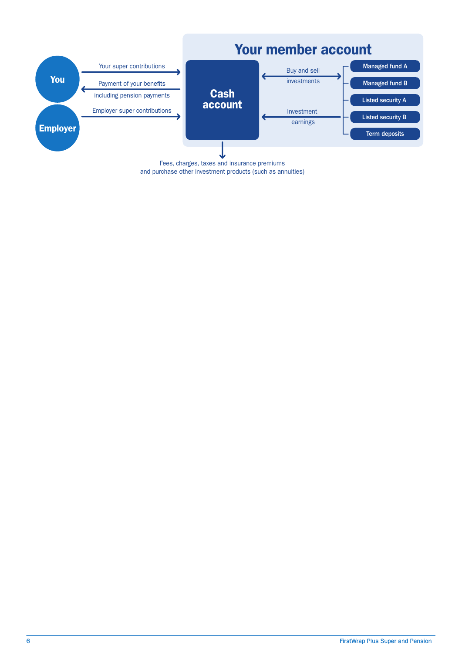

and purchase other investment products (such as annuities)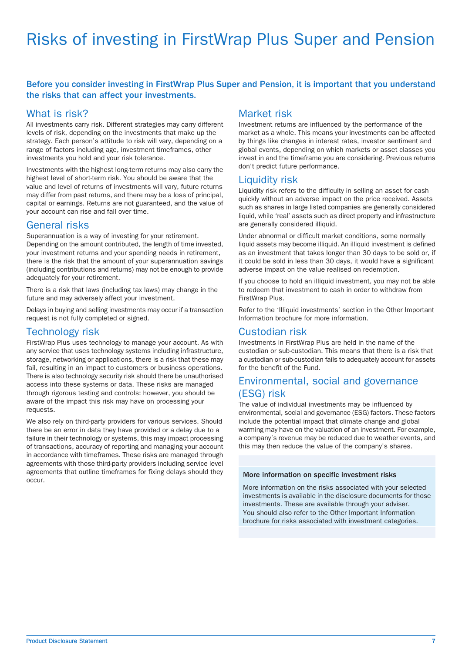# Risks of investing in FirstWrap Plus Super and Pension

#### <span id="page-8-0"></span>Before you consider investing in FirstWrap Plus Super and Pension, it is important that you understand the risks that can affect your investments.

#### What is risk?

All investments carry risk. Different strategies may carry different levels of risk, depending on the investments that make up the strategy. Each person's attitude to risk will vary, depending on a range of factors including age, investment timeframes, other investments you hold and your risk tolerance.

Investments with the highest long-term returns may also carry the highest level of short-term risk. You should be aware that the value and level of returns of investments will vary, future returns may differ from past returns, and there may be a loss of principal, capital or earnings. Returns are not guaranteed, and the value of your account can rise and fall over time.

#### General risks

Superannuation is a way of investing for your retirement. Depending on the amount contributed, the length of time invested, your investment returns and your spending needs in retirement, there is the risk that the amount of your superannuation savings (including contributions and returns) may not be enough to provide adequately for your retirement.

There is a risk that laws (including tax laws) may change in the future and may adversely affect your investment.

Delays in buying and selling investments may occur if a transaction request is not fully completed or signed.

#### Technology risk

FirstWrap Plus uses technology to manage your account. As with any service that uses technology systems including infrastructure, storage, networking or applications, there is a risk that these may fail, resulting in an impact to customers or business operations. There is also technology security risk should there be unauthorised access into these systems or data. These risks are managed through rigorous testing and controls: however, you should be aware of the impact this risk may have on processing your requests.

We also rely on third-party providers for various services. Should there be an error in data they have provided or a delay due to a failure in their technology or systems, this may impact processing of transactions, accuracy of reporting and managing your account in accordance with timeframes. These risks are managed through agreements with those third-party providers including service level agreements that outline timeframes for fixing delays should they occur.

#### Market risk

Investment returns are influenced by the performance of the market as a whole. This means your investments can be affected by things like changes in interest rates, investor sentiment and global events, depending on which markets or asset classes you invest in and the timeframe you are considering. Previous returns don't predict future performance.

#### Liquidity risk

Liquidity risk refers to the difficulty in selling an asset for cash quickly without an adverse impact on the price received. Assets such as shares in large listed companies are generally considered liquid, while 'real' assets such as direct property and infrastructure are generally considered illiquid.

Under abnormal or difficult market conditions, some normally liquid assets may become illiquid. An illiquid investment is defined as an investment that takes longer than 30 days to be sold or, if it could be sold in less than 30 days, it would have a significant adverse impact on the value realised on redemption.

If you choose to hold an illiquid investment, you may not be able to redeem that investment to cash in order to withdraw from FirstWrap Plus.

Refer to the 'Illiquid investments' section in the Other Important Information brochure for more information.

#### Custodian risk

Investments in FirstWrap Plus are held in the name of the custodian or sub-custodian. This means that there is a risk that a custodian or sub-custodian fails to adequately account for assets for the benefit of the Fund.

#### Environmental, social and governance (ESG) risk

The value of individual investments may be influenced by environmental, social and governance (ESG) factors. These factors include the potential impact that climate change and global warming may have on the valuation of an investment. For example, a company's revenue may be reduced due to weather events, and this may then reduce the value of the company's shares.

#### More information on specific investment risks

More information on the risks associated with your selected investments is available in the disclosure documents for those investments. These are available through your adviser. You should also refer to the Other Important Information brochure for risks associated with investment categories.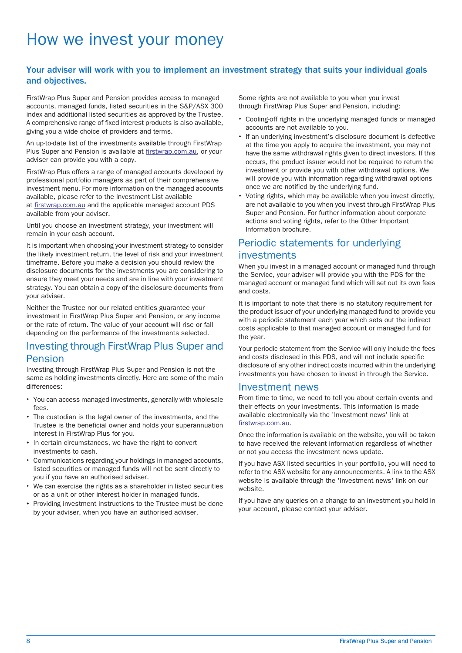### How we invest your money

#### <span id="page-9-0"></span>Your adviser will work with you to implement an investment strategy that suits your individual goals and objectives.

FirstWrap Plus Super and Pension provides access to managed accounts, managed funds, listed securities in the S&P/ASX 300 index and additional listed securities as approved by the Trustee. A comprehensive range of fixed interest products is also available, giving you a wide choice of providers and terms.

An up-to-date list of the investments available through FirstWrap Plus Super and Pension is available at [firstwrap.com.au](https://firstwrap.com.au), or your adviser can provide you with a copy.

FirstWrap Plus offers a range of managed accounts developed by professional portfolio managers as part of their comprehensive investment menu. For more information on the managed accounts available, please refer to the Investment List available at [firstwrap.com.au](https://firstwrap.com.au) and the applicable managed account PDS available from your adviser.

Until you choose an investment strategy, your investment will remain in your cash account.

It is important when choosing your investment strategy to consider the likely investment return, the level of risk and your investment timeframe. Before you make a decision you should review the disclosure documents for the investments you are considering to ensure they meet your needs and are in line with your investment strategy. You can obtain a copy of the disclosure documents from your adviser.

Neither the Trustee nor our related entities guarantee your investment in FirstWrap Plus Super and Pension, or any income or the rate of return. The value of your account will rise or fall depending on the performance of the investments selected.

#### Investing through FirstWrap Plus Super and Pension

Investing through FirstWrap Plus Super and Pension is not the same as holding investments directly. Here are some of the main differences:

- You can access managed investments, generally with wholesale fees.
- The custodian is the legal owner of the investments, and the Trustee is the beneficial owner and holds your superannuation interest in FirstWrap Plus for you.
- In certain circumstances, we have the right to convert investments to cash.
- Communications regarding your holdings in managed accounts, listed securities or managed funds will not be sent directly to you if you have an authorised adviser.
- We can exercise the rights as a shareholder in listed securities or as a unit or other interest holder in managed funds.
- Providing investment instructions to the Trustee must be done by your adviser, when you have an authorised adviser.

Some rights are not available to you when you invest through FirstWrap Plus Super and Pension, including:

- Cooling-off rights in the underlying managed funds or managed accounts are not available to you.
- If an underlying investment's disclosure document is defective at the time you apply to acquire the investment, you may not have the same withdrawal rights given to direct investors. If this occurs, the product issuer would not be required to return the investment or provide you with other withdrawal options. We will provide you with information regarding withdrawal options once we are notified by the underlying fund.
- Voting rights, which may be available when you invest directly, are not available to you when you invest through FirstWrap Plus Super and Pension. For further information about corporate actions and voting rights, refer to the Other Important Information brochure.

#### Periodic statements for underlying investments

When you invest in a managed account or managed fund through the Service, your adviser will provide you with the PDS for the managed account or managed fund which will set out its own fees and costs.

It is important to note that there is no statutory requirement for the product issuer of your underlying managed fund to provide you with a periodic statement each year which sets out the indirect costs applicable to that managed account or managed fund for the year.

Your periodic statement from the Service will only include the fees and costs disclosed in this PDS, and will not include specific disclosure of any other indirect costs incurred within the underlying investments you have chosen to invest in through the Service.

#### Investment news

From time to time, we need to tell you about certain events and their effects on your investments. This information is made available electronically via the 'Investment news' link at [firstwrap.com.au](https://firstwrap.com.au).

Once the information is available on the website, you will be taken to have received the relevant information regardless of whether or not you access the investment news update.

If you have ASX listed securities in your portfolio, you will need to refer to the ASX website for any announcements. A link to the ASX website is available through the 'Investment news' link on our website.

If you have any queries on a change to an investment you hold in your account, please contact your adviser.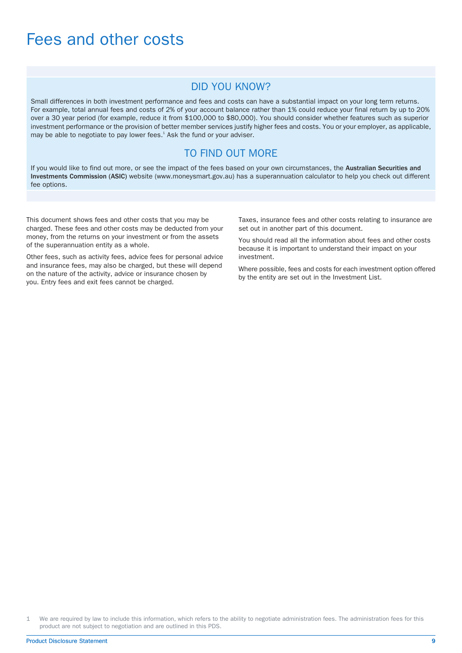### <span id="page-10-0"></span>Fees and other costs

#### DID YOU KNOW?

Small differences in both investment performance and fees and costs can have a substantial impact on your long term returns. For example, total annual fees and costs of 2% of your account balance rather than 1% could reduce your final return by up to 20% over a 30 year period (for example, reduce it from \$100,000 to \$80,000). You should consider whether features such as superior investment performance or the provision of better member services justify higher fees and costs. You or your employer, as applicable, may be able to negotiate to pay lower fees.<sup>1</sup> Ask the fund or your adviser.

#### TO FIND OUT MORE

If you would like to find out more, or see the impact of the fees based on your own circumstances, the Australian Securities and Investments Commission (ASIC) website (www.moneysmart.gov.au) has a superannuation calculator to help you check out different fee options.

This document shows fees and other costs that you may be charged. These fees and other costs may be deducted from your money, from the returns on your investment or from the assets of the superannuation entity as a whole.

Other fees, such as activity fees, advice fees for personal advice and insurance fees, may also be charged, but these will depend on the nature of the activity, advice or insurance chosen by you. Entry fees and exit fees cannot be charged.

Taxes, insurance fees and other costs relating to insurance are set out in another part of this document.

You should read all the information about fees and other costs because it is important to understand their impact on your investment.

Where possible, fees and costs for each investment option offered by the entity are set out in the Investment List.

1 We are required by law to include this information, which refers to the ability to negotiate administration fees. The administration fees for this product are not subject to negotiation and are outlined in this PDS.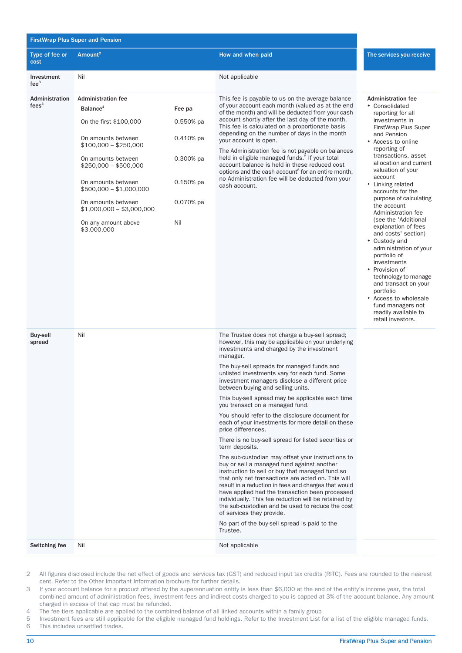<span id="page-11-0"></span>

| <b>FirstWrap Plus Super and Pension</b> |                                                   |             |                                                                                                                                                                                                                                                                                                                                                                                                                                                              |                                                                                                                                                                                                                                                                                                                        |  |  |  |  |                                                                  |
|-----------------------------------------|---------------------------------------------------|-------------|--------------------------------------------------------------------------------------------------------------------------------------------------------------------------------------------------------------------------------------------------------------------------------------------------------------------------------------------------------------------------------------------------------------------------------------------------------------|------------------------------------------------------------------------------------------------------------------------------------------------------------------------------------------------------------------------------------------------------------------------------------------------------------------------|--|--|--|--|------------------------------------------------------------------|
| Type of fee or<br>cost                  | Amount <sup>2</sup>                               |             | How and when paid                                                                                                                                                                                                                                                                                                                                                                                                                                            | The services you receive                                                                                                                                                                                                                                                                                               |  |  |  |  |                                                                  |
| Investment<br>fee <sup>3</sup>          | Nil                                               |             | Not applicable                                                                                                                                                                                                                                                                                                                                                                                                                                               |                                                                                                                                                                                                                                                                                                                        |  |  |  |  |                                                                  |
| Administration<br>fees $3$              | <b>Administration fee</b><br>Balance <sup>4</sup> | Fee pa      | This fee is payable to us on the average balance<br>of your account each month (valued as at the end<br>of the month) and will be deducted from your cash<br>account shortly after the last day of the month.<br>This fee is calculated on a proportionate basis                                                                                                                                                                                             |                                                                                                                                                                                                                                                                                                                        |  |  |  |  | <b>Administration fee</b><br>• Consolidated<br>reporting for all |
|                                         | On the first \$100,000                            | $0.550%$ pa |                                                                                                                                                                                                                                                                                                                                                                                                                                                              | investments in<br>FirstWrap Plus Super                                                                                                                                                                                                                                                                                 |  |  |  |  |                                                                  |
|                                         | On amounts between<br>$$100,000 - $250,000$       | $0.410%$ pa | depending on the number of days in the month<br>your account is open.                                                                                                                                                                                                                                                                                                                                                                                        | and Pension<br>• Access to online<br>reporting of                                                                                                                                                                                                                                                                      |  |  |  |  |                                                                  |
|                                         | On amounts between<br>$$250,000 - $500,000$       | $0.300%$ pa | The Administration fee is not payable on balances<br>held in eligible managed funds. <sup>5</sup> If your total<br>account balance is held in these reduced cost<br>options and the cash account <sup>6</sup> for an entire month,                                                                                                                                                                                                                           | transactions, asset<br>allocation and current<br>valuation of your                                                                                                                                                                                                                                                     |  |  |  |  |                                                                  |
|                                         | On amounts between<br>$$500,000 - $1,000,000$     | $0.150%$ pa | no Administration fee will be deducted from your<br>cash account.                                                                                                                                                                                                                                                                                                                                                                                            | account<br>• Linking related<br>accounts for the                                                                                                                                                                                                                                                                       |  |  |  |  |                                                                  |
|                                         | On amounts between<br>\$1,000,000 - \$3,000,000   | 0.070% pa   |                                                                                                                                                                                                                                                                                                                                                                                                                                                              | purpose of calculating<br>the account<br>Administration fee                                                                                                                                                                                                                                                            |  |  |  |  |                                                                  |
|                                         | On any amount above<br>\$3,000,000                | Nil         |                                                                                                                                                                                                                                                                                                                                                                                                                                                              | (see the 'Additional<br>explanation of fees<br>and costs' section)<br>• Custody and<br>administration of your<br>portfolio of<br>investments<br>• Provision of<br>technology to manage<br>and transact on your<br>portfolio<br>• Access to wholesale<br>fund managers not<br>readily available to<br>retail investors. |  |  |  |  |                                                                  |
| <b>Buy-sell</b><br>spread               | Nil                                               |             | The Trustee does not charge a buy-sell spread;<br>however, this may be applicable on your underlying<br>investments and charged by the investment<br>manager.                                                                                                                                                                                                                                                                                                |                                                                                                                                                                                                                                                                                                                        |  |  |  |  |                                                                  |
|                                         |                                                   |             | The buy-sell spreads for managed funds and<br>unlisted investments vary for each fund. Some<br>investment managers disclose a different price<br>between buying and selling units.                                                                                                                                                                                                                                                                           |                                                                                                                                                                                                                                                                                                                        |  |  |  |  |                                                                  |
|                                         |                                                   |             | This buy-sell spread may be applicable each time<br>you transact on a managed fund.                                                                                                                                                                                                                                                                                                                                                                          |                                                                                                                                                                                                                                                                                                                        |  |  |  |  |                                                                  |
|                                         |                                                   |             | You should refer to the disclosure document for<br>each of your investments for more detail on these<br>price differences.                                                                                                                                                                                                                                                                                                                                   |                                                                                                                                                                                                                                                                                                                        |  |  |  |  |                                                                  |
|                                         |                                                   |             | There is no buy-sell spread for listed securities or<br>term deposits.                                                                                                                                                                                                                                                                                                                                                                                       |                                                                                                                                                                                                                                                                                                                        |  |  |  |  |                                                                  |
|                                         |                                                   |             | The sub-custodian may offset your instructions to<br>buy or sell a managed fund against another<br>instruction to sell or buy that managed fund so<br>that only net transactions are acted on. This will<br>result in a reduction in fees and charges that would<br>have applied had the transaction been processed<br>individually. This fee reduction will be retained by<br>the sub-custodian and be used to reduce the cost<br>of services they provide. |                                                                                                                                                                                                                                                                                                                        |  |  |  |  |                                                                  |
|                                         |                                                   |             | No part of the buy-sell spread is paid to the<br>Trustee.                                                                                                                                                                                                                                                                                                                                                                                                    |                                                                                                                                                                                                                                                                                                                        |  |  |  |  |                                                                  |
| Switching fee                           | Nil                                               |             | Not applicable                                                                                                                                                                                                                                                                                                                                                                                                                                               |                                                                                                                                                                                                                                                                                                                        |  |  |  |  |                                                                  |

<span id="page-11-1"></span><sup>2</sup> All figures disclosed include the net effect of goods and services tax (GST) and reduced input tax credits (RITC). Fees are rounded to the nearest cent. Refer to the Other Important Information brochure for further details.

- 3 If your account balance for a product offered by the superannuation entity is less than \$6,000 at the end of the entity's income year, the total combined amount of administration fees, investment fees and indirect costs charged to you is capped at 3% of the account balance. Any amount charged in excess of that cap must be refunded.
- 4 The fee tiers applicable are applied to the combined balance of all linked accounts within a family group<br>5 Investment fees are still applicable for the eligible managed fund holdings. Refer to the Investment List

5 Investment fees are still applicable for the eligible managed fund holdings. Refer to the Investment List for a list of the eligible managed funds.<br>6 This includes unsettled trades. This includes unsettled trades.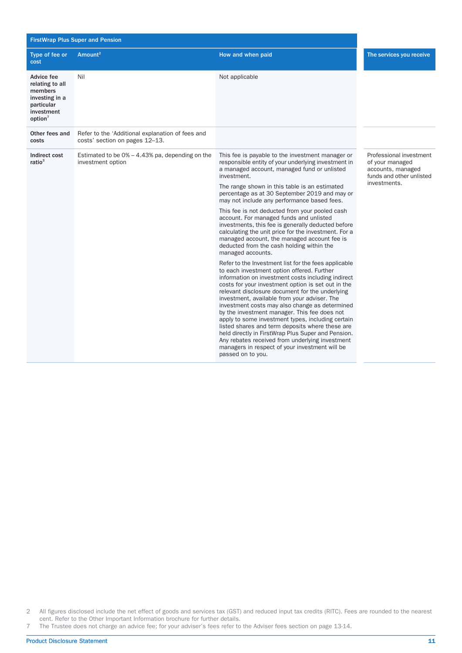|                                                                                                               | <b>FirstWrap Plus Super and Pension</b>                                            |                                                                                                                                                                                                                                                                                                                                                                                                                                                                                                                                                                                                                                                                                                             |                                                                                             |
|---------------------------------------------------------------------------------------------------------------|------------------------------------------------------------------------------------|-------------------------------------------------------------------------------------------------------------------------------------------------------------------------------------------------------------------------------------------------------------------------------------------------------------------------------------------------------------------------------------------------------------------------------------------------------------------------------------------------------------------------------------------------------------------------------------------------------------------------------------------------------------------------------------------------------------|---------------------------------------------------------------------------------------------|
| Type of fee or<br>cost                                                                                        | Amount <sup>2</sup>                                                                | How and when paid                                                                                                                                                                                                                                                                                                                                                                                                                                                                                                                                                                                                                                                                                           | The services you receive                                                                    |
| Advice fee<br>relating to all<br>members<br>investing in a<br>particular<br>investment<br>option <sup>7</sup> | Nil                                                                                | Not applicable                                                                                                                                                                                                                                                                                                                                                                                                                                                                                                                                                                                                                                                                                              |                                                                                             |
| Other fees and<br>costs                                                                                       | Refer to the 'Additional explanation of fees and<br>costs' section on pages 12-13. |                                                                                                                                                                                                                                                                                                                                                                                                                                                                                                                                                                                                                                                                                                             |                                                                                             |
| Indirect cost<br>ratio <sup>3</sup>                                                                           | Estimated to be $0\% - 4.43\%$ pa, depending on the<br>investment option           | This fee is payable to the investment manager or<br>responsible entity of your underlying investment in<br>a managed account, managed fund or unlisted<br>investment.                                                                                                                                                                                                                                                                                                                                                                                                                                                                                                                                       | Professional investment<br>of your managed<br>accounts, managed<br>funds and other unlisted |
|                                                                                                               |                                                                                    | The range shown in this table is an estimated<br>percentage as at 30 September 2019 and may or<br>may not include any performance based fees.                                                                                                                                                                                                                                                                                                                                                                                                                                                                                                                                                               | investments.                                                                                |
|                                                                                                               |                                                                                    | This fee is not deducted from your pooled cash<br>account. For managed funds and unlisted<br>investments, this fee is generally deducted before<br>calculating the unit price for the investment. For a<br>managed account, the managed account fee is<br>deducted from the cash holding within the<br>managed accounts.                                                                                                                                                                                                                                                                                                                                                                                    |                                                                                             |
|                                                                                                               |                                                                                    | Refer to the Investment list for the fees applicable<br>to each investment option offered. Further<br>information on investment costs including indirect<br>costs for your investment option is set out in the<br>relevant disclosure document for the underlying<br>investment, available from your adviser. The<br>investment costs may also change as determined<br>by the investment manager. This fee does not<br>apply to some investment types, including certain<br>listed shares and term deposits where these are<br>held directly in FirstWrap Plus Super and Pension.<br>Any rebates received from underlying investment<br>managers in respect of your investment will be<br>passed on to you. |                                                                                             |

2 All figures disclosed include the net effect of goods and services tax (GST) and reduced input tax credits (RITC). Fees are rounded to the nearest cent. Refer to the Other Important Information brochure for further details.

7 The Trustee does not charge an advice fee; for your adviser's fees refer to the Adviser fees section on page 13-14.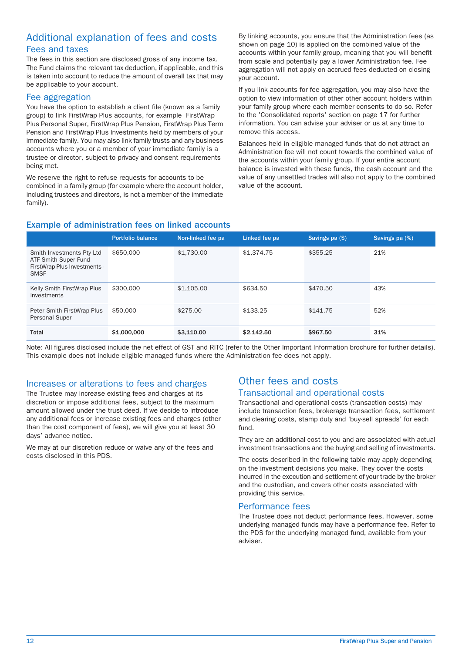#### Additional explanation of fees and costs Fees and taxes

The fees in this section are disclosed gross of any income tax. The Fund claims the relevant tax deduction, if applicable, and this is taken into account to reduce the amount of overall tax that may be applicable to your account.

#### Fee aggregation

You have the option to establish a client file (known as a family group) to link FirstWrap Plus accounts, for example FirstWrap Plus Personal Super, FirstWrap Plus Pension, FirstWrap Plus Term Pension and FirstWrap Plus Investments held by members of your immediate family. You may also link family trusts and any business accounts where you or a member of your immediate family is a trustee or director, subject to privacy and consent requirements being met.

We reserve the right to refuse requests for accounts to be combined in a family group (for example where the account holder, including trustees and directors, is not a member of the immediate family).

By linking accounts, you ensure that the Administration fees (as shown on page 10) is applied on the combined value of the accounts within your family group, meaning that you will benefit from scale and potentially pay a lower Administration fee. Fee aggregation will not apply on accrued fees deducted on closing your account.

If you link accounts for fee aggregation, you may also have the option to view information of other other account holders within your family group where each member consents to do so. Refer to the 'Consolidated reports' section on page [17](#page-18-1) for further information. You can advise your adviser or us at any time to remove this access.

Balances held in eligible managed funds that do not attract an Administration fee will not count towards the combined value of the accounts within your family group. If your entire account balance is invested with these funds, the cash account and the value of any unsettled trades will also not apply to the combined value of the account.

#### Example of administration fees on linked accounts

|                                                                                                  | <b>Portfolio balance</b> | Non-linked fee pa | Linked fee pa | Savings pa (\$) | Savings pa (%) |
|--------------------------------------------------------------------------------------------------|--------------------------|-------------------|---------------|-----------------|----------------|
| Smith Investments Pty Ltd<br>ATF Smith Super Fund<br>FirstWrap Plus Investments -<br><b>SMSF</b> | \$650,000                | \$1,730.00        | \$1,374.75    | \$355.25        | 21%            |
| Kelly Smith FirstWrap Plus<br>Investments                                                        | \$300,000                | \$1,105,00        | \$634.50      | \$470.50        | 43%            |
| Peter Smith FirstWrap Plus<br>Personal Super                                                     | \$50,000                 | \$275.00          | \$133.25      | \$141.75        | 52%            |
| Total                                                                                            | \$1,000,000              | \$3,110.00        | \$2,142.50    | \$967.50        | 31%            |

Note: All figures disclosed include the net effect of GST and RITC (refer to the Other Important Information brochure for further details). This example does not include eligible managed funds where the Administration fee does not apply.

#### Increases or alterations to fees and charges

The Trustee may increase existing fees and charges at its discretion or impose additional fees, subject to the maximum amount allowed under the trust deed. If we decide to introduce any additional fees or increase existing fees and charges (other than the cost component of fees), we will give you at least 30 days' advance notice.

We may at our discretion reduce or waive any of the fees and costs disclosed in this PDS.

#### Other fees and costs Transactional and operational costs

Transactional and operational costs (transaction costs) may include transaction fees, brokerage transaction fees, settlement and clearing costs, stamp duty and 'buy-sell spreads' for each fund.

They are an additional cost to you and are associated with actual investment transactions and the buying and selling of investments.

The costs described in the following table may apply depending on the investment decisions you make. They cover the costs incurred in the execution and settlement of your trade by the broker and the custodian, and covers other costs associated with providing this service.

#### Performance fees

The Trustee does not deduct performance fees. However, some underlying managed funds may have a performance fee. Refer to the PDS for the underlying managed fund, available from your adviser.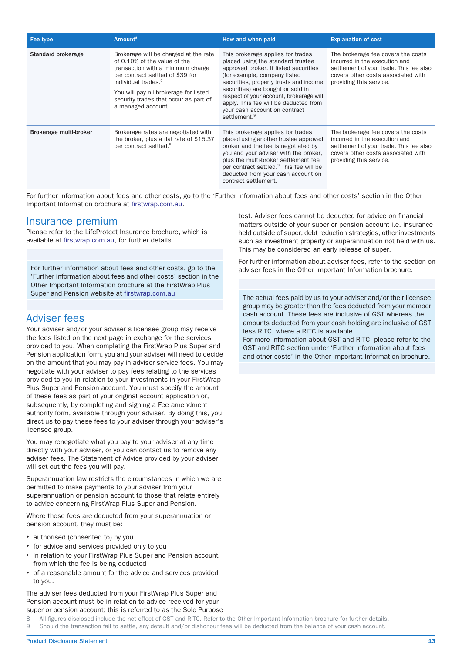| Fee type               | Amount <sup>8</sup>                                                                                                                                                                                                                                                                       | How and when paid                                                                                                                                                                                                                                                                                                                                                               | <b>Explanation of cost</b>                                                                                                                                                      |
|------------------------|-------------------------------------------------------------------------------------------------------------------------------------------------------------------------------------------------------------------------------------------------------------------------------------------|---------------------------------------------------------------------------------------------------------------------------------------------------------------------------------------------------------------------------------------------------------------------------------------------------------------------------------------------------------------------------------|---------------------------------------------------------------------------------------------------------------------------------------------------------------------------------|
| Standard brokerage     | Brokerage will be charged at the rate<br>of 0.10% of the value of the<br>transaction with a minimum charge<br>per contract settled of \$39 for<br>individual trades. <sup>9</sup><br>You will pay nil brokerage for listed<br>security trades that occur as part of<br>a managed account. | This brokerage applies for trades<br>placed using the standard trustee<br>approved broker. If listed securities<br>(for example, company listed<br>securities, property trusts and income<br>securities) are bought or sold in<br>respect of your account, brokerage will<br>apply. This fee will be deducted from<br>your cash account on contract<br>settlement. <sup>9</sup> | The brokerage fee covers the costs<br>incurred in the execution and<br>settlement of your trade. This fee also<br>covers other costs associated with<br>providing this service. |
| Brokerage multi-broker | Brokerage rates are negotiated with<br>the broker, plus a flat rate of \$15.37<br>per contract settled. <sup>9</sup>                                                                                                                                                                      | This brokerage applies for trades<br>placed using another trustee approved<br>broker and the fee is negotiated by<br>you and your adviser with the broker,<br>plus the multi-broker settlement fee<br>per contract settled. <sup>9</sup> This fee will be<br>deducted from your cash account on<br>contract settlement.                                                         | The brokerage fee covers the costs<br>incurred in the execution and<br>settlement of your trade. This fee also<br>covers other costs associated with<br>providing this service. |

For further information about fees and other costs, go to the 'Further information about fees and other costs' section in the Other Important Information brochure at [firstwrap.com.au.](https://firstwrap.com.au)

#### Insurance premium

Please refer to the LifeProtect Insurance brochure, which is available at [firstwrap.com.au](https://firstwrap.com.au), for further details.

<span id="page-14-1"></span>For further information about fees and other costs, go to the 'Further information about fees and other costs' section in the Other Important Information brochure at the FirstWrap Plus Super and Pension website at [firstwrap.com.au](https://firstwrap.com.au)

#### Adviser fees

Your adviser and/or your adviser's licensee group may receive the fees listed on the next page in exchange for the services provided to you. When completing the FirstWrap Plus Super and Pension application form, you and your adviser will need to decide on the amount that you may pay in adviser service fees. You may negotiate with your adviser to pay fees relating to the services provided to you in relation to your investments in your FirstWrap Plus Super and Pension account. You must specify the amount of these fees as part of your original account application or, subsequently, by completing and signing a Fee amendment authority form, available through your adviser. By doing this, you direct us to pay these fees to your adviser through your adviser's licensee group.

You may renegotiate what you pay to your adviser at any time directly with your adviser, or you can contact us to remove any adviser fees. The Statement of Advice provided by your adviser will set out the fees you will pay.

Superannuation law restricts the circumstances in which we are permitted to make payments to your adviser from your superannuation or pension account to those that relate entirely to advice concerning FirstWrap Plus Super and Pension.

Where these fees are deducted from your superannuation or pension account, they must be:

- authorised (consented to) by you
- for advice and services provided only to you
- in relation to your FirstWrap Plus Super and Pension account from which the fee is being deducted
- <span id="page-14-0"></span>of a reasonable amount for the advice and services provided to you.

The adviser fees deducted from your FirstWrap Plus Super and Pension account must be in relation to advice received for your super or pension account; this is referred to as the Sole Purpose

test. Adviser fees cannot be deducted for advice on financial matters outside of your super or pension account i.e. insurance held outside of super, debt reduction strategies, other investments such as investment property or superannuation not held with us. This may be considered an early release of super.

For further information about adviser fees, refer to the section on adviser fees in the Other Important Information brochure.

The actual fees paid by us to your adviser and/or their licensee group may be greater than the fees deducted from your member cash account. These fees are inclusive of GST whereas the amounts deducted from your cash holding are inclusive of GST less RITC, where a RITC is available.

For more information about GST and RITC, please refer to the GST and RITC section under 'Further information about fees and other costs' in the Other Important Information brochure.

8 All figures disclosed include the net effect of GST and RITC. Refer to the Other Important Information brochure for further details.

9 Should the transaction fail to settle, any default and/or dishonour fees will be deducted from the balance of your cash account.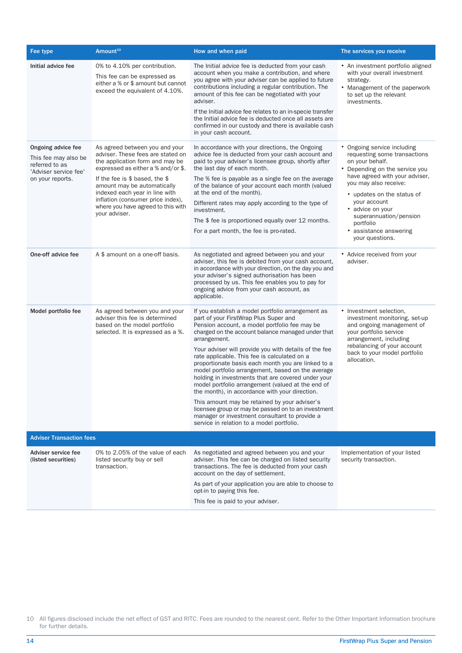| Fee type                                                                                                  | Amount <sup>10</sup>                                                                                                                                                                                                                                                                                                                          | How and when paid                                                                                                                                                                                                                                                                                                                                                                                                                                                                                                                                                                                                                                                                                                                                                                                       | The services you receive                                                                                                                                                                                                                                                                                                             |
|-----------------------------------------------------------------------------------------------------------|-----------------------------------------------------------------------------------------------------------------------------------------------------------------------------------------------------------------------------------------------------------------------------------------------------------------------------------------------|---------------------------------------------------------------------------------------------------------------------------------------------------------------------------------------------------------------------------------------------------------------------------------------------------------------------------------------------------------------------------------------------------------------------------------------------------------------------------------------------------------------------------------------------------------------------------------------------------------------------------------------------------------------------------------------------------------------------------------------------------------------------------------------------------------|--------------------------------------------------------------------------------------------------------------------------------------------------------------------------------------------------------------------------------------------------------------------------------------------------------------------------------------|
| Initial advice fee                                                                                        | 0% to 4.10% per contribution.<br>This fee can be expressed as<br>either a % or \$ amount but cannot<br>exceed the equivalent of 4.10%.                                                                                                                                                                                                        | The Initial advice fee is deducted from your cash<br>account when you make a contribution, and where<br>you agree with your adviser can be applied to future<br>contributions including a regular contribution. The<br>amount of this fee can be negotiated with your<br>adviser.<br>If the Initial advice fee relates to an in-specie transfer<br>the Initial advice fee is deducted once all assets are<br>confirmed in our custody and there is available cash<br>in your cash account.                                                                                                                                                                                                                                                                                                              | • An investment portfolio aligned<br>with your overall investment<br>strategy.<br>• Management of the paperwork<br>to set up the relevant<br>investments.                                                                                                                                                                            |
| Ongoing advice fee<br>This fee may also be<br>referred to as<br>'Adviser service fee'<br>on your reports. | As agreed between you and your<br>adviser. These fees are stated on<br>the application form and may be<br>expressed as either a % and/or \$.<br>If the fee is $$$ based, the $$$<br>amount may be automatically<br>indexed each year in line with<br>inflation (consumer price index),<br>where you have agreed to this with<br>your adviser. | In accordance with your directions, the Ongoing<br>advice fee is deducted from your cash account and<br>paid to your adviser's licensee group, shortly after<br>the last day of each month.<br>The % fee is payable as a single fee on the average<br>of the balance of your account each month (valued<br>at the end of the month).<br>Different rates may apply according to the type of<br>investment.<br>The \$ fee is proportioned equally over 12 months.<br>For a part month, the fee is pro-rated.                                                                                                                                                                                                                                                                                              | • Ongoing service including<br>requesting some transactions<br>on your behalf.<br>Depending on the service you<br>٠<br>have agreed with your adviser,<br>you may also receive:<br>• updates on the status of<br>your account<br>• advice on your<br>superannuation/pension<br>portfolio<br>• assistance answering<br>your questions. |
| One-off advice fee                                                                                        | A \$ amount on a one-off basis.                                                                                                                                                                                                                                                                                                               | As negotiated and agreed between you and your<br>adviser, this fee is debited from your cash account,<br>in accordance with your direction, on the day you and<br>your adviser's signed authorisation has been<br>processed by us. This fee enables you to pay for<br>ongoing advice from your cash account, as<br>applicable.                                                                                                                                                                                                                                                                                                                                                                                                                                                                          | • Advice received from your<br>adviser.                                                                                                                                                                                                                                                                                              |
| Model portfolio fee                                                                                       | As agreed between you and your<br>adviser this fee is determined<br>based on the model portfolio<br>selected. It is expressed as a %.                                                                                                                                                                                                         | If you establish a model portfolio arrangement as<br>part of your FirstWrap Plus Super and<br>Pension account, a model portfolio fee may be<br>charged on the account balance managed under that<br>arrangement.<br>Your adviser will provide you with details of the fee<br>rate applicable. This fee is calculated on a<br>proportionate basis each month you are linked to a<br>model portfolio arrangement, based on the average<br>holding in investments that are covered under your<br>model portfolio arrangement (valued at the end of<br>the month), in accordance with your direction.<br>This amount may be retained by your adviser's<br>licensee group or may be passed on to an investment<br>manager or investment consultant to provide a<br>service in relation to a model portfolio. | • Investment selection,<br>investment monitoring, set-up<br>and ongoing management of<br>your portfolio service<br>arrangement, including<br>rebalancing of your account<br>back to your model portfolio<br>allocation.                                                                                                              |
| <b>Adviser Transaction fees</b>                                                                           |                                                                                                                                                                                                                                                                                                                                               |                                                                                                                                                                                                                                                                                                                                                                                                                                                                                                                                                                                                                                                                                                                                                                                                         |                                                                                                                                                                                                                                                                                                                                      |
| Adviser service fee<br>(listed securities)                                                                | 0% to 2.05% of the value of each<br>listed security buy or sell<br>transaction.                                                                                                                                                                                                                                                               | As negotiated and agreed between you and your<br>adviser. This fee can be charged on listed security<br>transactions. The fee is deducted from your cash<br>account on the day of settlement.<br>As part of your application you are able to choose to<br>opt-in to paying this fee.<br>This fee is paid to your adviser.                                                                                                                                                                                                                                                                                                                                                                                                                                                                               | Implementation of your listed<br>security transaction.                                                                                                                                                                                                                                                                               |

<span id="page-15-0"></span>10 All figures disclosed include the net effect of GST and RITC. Fees are rounded to the nearest cent. Refer to the Other Important Information brochure for further details.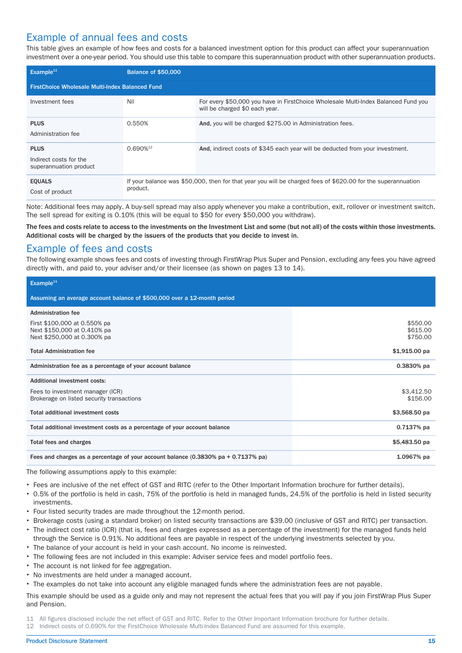#### Example of annual fees and costs

This table gives an example of how fees and costs for a balanced investment option for this product can affect your superannuation investment over a one-year period. You should use this table to compare this superannuation product with other superannuation products.

| Example $11$                                                    | <b>Balance of \$50,000</b> |                                                                                                                      |  |  |
|-----------------------------------------------------------------|----------------------------|----------------------------------------------------------------------------------------------------------------------|--|--|
| <b>FirstChoice Wholesale Multi-Index Balanced Fund</b>          |                            |                                                                                                                      |  |  |
| Investment fees                                                 | Nil                        | For every \$50,000 you have in FirstChoice Wholesale Multi-Index Balanced Fund you<br>will be charged \$0 each year. |  |  |
| <b>PLUS</b><br>Administration fee                               | 0.550%                     | And, you will be charged \$275.00 in Administration fees.                                                            |  |  |
| <b>PLUS</b><br>Indirect costs for the<br>superannuation product | $0.690\%$ <sup>12</sup>    | And, indirect costs of \$345 each year will be deducted from your investment.                                        |  |  |
| <b>EQUALS</b><br>Cost of product                                | product.                   | If your balance was \$50,000, then for that year you will be charged fees of \$620.00 for the superannuation         |  |  |

Note: Additional fees may apply. A buy-sell spread may also apply whenever you make a contribution, exit, rollover or investment switch. The sell spread for exiting is 0.10% (this will be equal to \$50 for every \$50,000 you withdraw).

The fees and costs relate to access to the investments on the Investment List and some (but not all) of the costs within those investments. Additional costs will be charged by the issuers of the products that you decide to invest in.

#### Example of fees and costs

The following example shows fees and costs of investing through FirstWrap Plus Super and Pension, excluding any fees you have agreed directly with, and paid to, your adviser and/or their licensee (as shown on pages [13](#page-14-1) to [14\)](#page-15-0).

| Example <sup>11</sup>                                                                      |                                  |
|--------------------------------------------------------------------------------------------|----------------------------------|
| Assuming an average account balance of \$500,000 over a 12-month period                    |                                  |
| <b>Administration fee</b>                                                                  |                                  |
| First \$100,000 at 0.550% pa<br>Next \$150,000 at 0.410% pa<br>Next \$250,000 at 0.300% pa | \$550.00<br>\$615.00<br>\$750.00 |
| <b>Total Administration fee</b>                                                            | $$1,915.00$ pa                   |
| Administration fee as a percentage of your account balance                                 | $0.3830%$ pa                     |
| <b>Additional investment costs:</b>                                                        |                                  |
| Fees to investment manager (ICR)<br>Brokerage on listed security transactions              | \$3,412.50<br>\$156.00           |
| Total additional investment costs                                                          | \$3,568.50 pa                    |
| Total additional investment costs as a percentage of your account balance                  | $0.7137%$ pa                     |
| Total fees and charges                                                                     | \$5,483.50 pa                    |
| Fees and charges as a percentage of your account balance (0.3830% pa + 0.7137% pa)         | 1.0967% pa                       |

The following assumptions apply to this example:

- Fees are inclusive of the net effect of GST and RITC (refer to the Other Important Information brochure for further details).
- 0.5% of the portfolio is held in cash, 75% of the portfolio is held in managed funds, 24.5% of the portfolio is held in listed security investments.
- Four listed security trades are made throughout the 12-month period.
- Brokerage costs (using a standard broker) on listed security transactions are \$39.00 (inclusive of GST and RITC) per transaction.
- The indirect cost ratio (ICR) (that is, fees and charges expressed as a percentage of the investment) for the managed funds held through the Service is 0.91%. No additional fees are payable in respect of the underlying investments selected by you.
- The balance of your account is held in your cash account. No income is reinvested.
- <span id="page-16-0"></span>The following fees are not included in this example: Adviser service fees and model portfolio fees.
- The account is not linked for fee aggregation.
- No investments are held under a managed account.

The examples do not take into account any eligible managed funds where the administration fees are not payable.

This example should be used as a guide only and may not represent the actual fees that you will pay if you join FirstWrap Plus Super and Pension.

11 All figures disclosed include the net effect of GST and RITC. Refer to the Other Important Information brochure for further details.

12 Indirect costs of 0.690% for the FirstChoice Wholesale Multi-Index Balanced Fund are assumed for this example.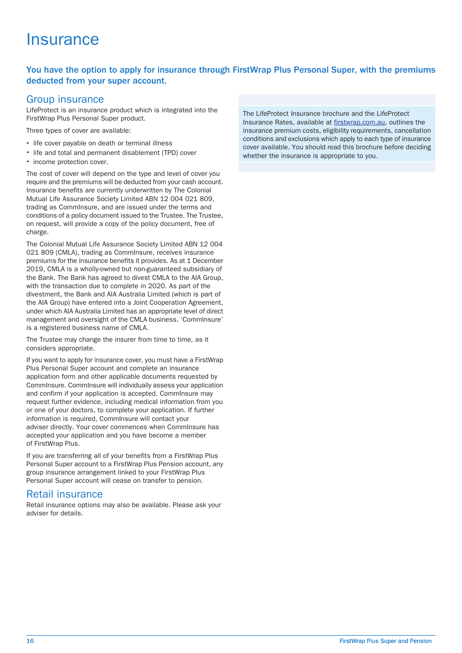### **Insurance**

#### <span id="page-17-0"></span>You have the option to apply for insurance through FirstWrap Plus Personal Super, with the premiums deducted from your super account.

#### Group insurance

LifeProtect is an insurance product which is integrated into the FirstWrap Plus Personal Super product.

Three types of cover are available:

- life cover payable on death or terminal illness
- life and total and permanent disablement (TPD) cover
- income protection cover.

The cost of cover will depend on the type and level of cover you require and the premiums will be deducted from your cash account. Insurance benefits are currently underwritten by The Colonial Mutual Life Assurance Society Limited ABN 12 004 021 809, trading as CommInsure, and are issued under the terms and conditions of a policy document issued to the Trustee. The Trustee, on request, will provide a copy of the policy document, free of charge.

The Colonial Mutual Life Assurance Society Limited ABN 12 004 021 809 (CMLA), trading as CommInsure, receives insurance premiums for the insurance benefits it provides. As at 1 December 2019, CMLA is a wholly-owned but non-guaranteed subsidiary of the Bank. The Bank has agreed to divest CMLA to the AIA Group, with the transaction due to complete in 2020. As part of the divestment, the Bank and AIA Australia Limited (which is part of the AIA Group) have entered into a Joint Cooperation Agreement, under which AIA Australia Limited has an appropriate level of direct management and oversight of the CMLA business. 'CommInsure' is a registered business name of CMLA.

The Trustee may change the insurer from time to time, as it considers appropriate.

If you want to apply for insurance cover, you must have a FirstWrap Plus Personal Super account and complete an insurance application form and other applicable documents requested by CommInsure. CommInsure will individually assess your application and confirm if your application is accepted. CommInsure may request further evidence, including medical information from you or one of your doctors, to complete your application. If further information is required, CommInsure will contact your adviser directly. Your cover commences when CommInsure has accepted your application and you have become a member of FirstWrap Plus.

If you are transferring all of your benefits from a FirstWrap Plus Personal Super account to a FirstWrap Plus Pension account, any group insurance arrangement linked to your FirstWrap Plus Personal Super account will cease on transfer to pension.

#### Retail insurance

Retail insurance options may also be available. Please ask your adviser for details.

The LifeProtect Insurance brochure and the LifeProtect Insurance Rates, available at [firstwrap.com.au](https://firstwrap.com.au), outlines the insurance premium costs, eligibility requirements, cancellation conditions and exclusions which apply to each type of insurance cover available. You should read this brochure before deciding whether the insurance is appropriate to you.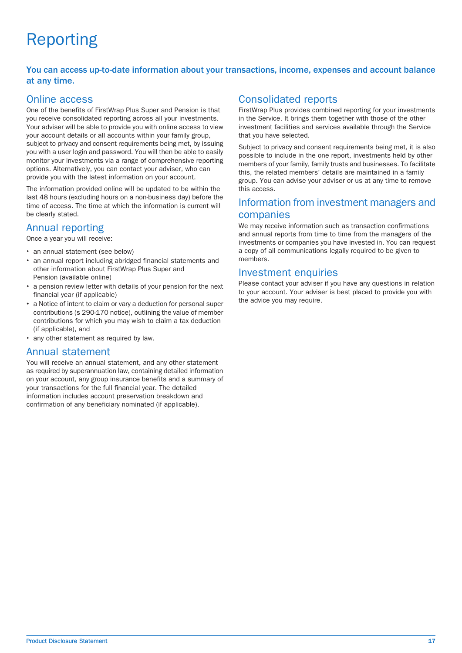# Reporting

#### <span id="page-18-0"></span>You can access up-to-date information about your transactions, income, expenses and account balance at any time.

#### Online access

One of the benefits of FirstWrap Plus Super and Pension is that you receive consolidated reporting across all your investments. Your adviser will be able to provide you with online access to view your account details or all accounts within your family group, subject to privacy and consent requirements being met, by issuing you with a user login and password. You will then be able to easily monitor your investments via a range of comprehensive reporting options. Alternatively, you can contact your adviser, who can provide you with the latest information on your account.

The information provided online will be updated to be within the last 48 hours (excluding hours on a non-business day) before the time of access. The time at which the information is current will be clearly stated.

### Annual reporting

Once a year you will receive:

- an annual statement (see below)
- an annual report including abridged financial statements and other information about FirstWrap Plus Super and Pension (available online)
- a pension review letter with details of your pension for the next financial year (if applicable)
- a Notice of intent to claim or vary a deduction for personal super contributions (s 290-170 notice), outlining the value of member contributions for which you may wish to claim a tax deduction (if applicable), and
- any other statement as required by law.

#### Annual statement

You will receive an annual statement, and any other statement as required by superannuation law, containing detailed information on your account, any group insurance benefits and a summary of your transactions for the full financial year. The detailed information includes account preservation breakdown and confirmation of any beneficiary nominated (if applicable).

### Consolidated reports

FirstWrap Plus provides combined reporting for your investments in the Service. It brings them together with those of the other investment facilities and services available through the Service that you have selected.

Subject to privacy and consent requirements being met, it is also possible to include in the one report, investments held by other members of your family, family trusts and businesses. To facilitate this, the related members' details are maintained in a family group. You can advise your adviser or us at any time to remove this access.

#### <span id="page-18-1"></span>Information from investment managers and companies

We may receive information such as transaction confirmations and annual reports from time to time from the managers of the investments or companies you have invested in. You can request a copy of all communications legally required to be given to members.

#### Investment enquiries

Please contact your adviser if you have any questions in relation to your account. Your adviser is best placed to provide you with the advice you may require.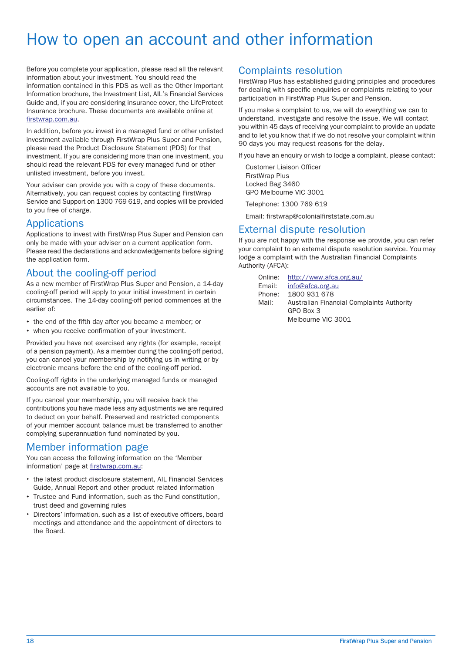### How to open an account and other information

<span id="page-19-0"></span>Before you complete your application, please read all the relevant information about your investment. You should read the information contained in this PDS as well as the Other Important Information brochure, the Investment List, AIL's Financial Services Guide and, if you are considering insurance cover, the LifeProtect Insurance brochure. These documents are available online at [firstwrap.com.au.](https://firstwrap.com.au)

In addition, before you invest in a managed fund or other unlisted investment available through FirstWrap Plus Super and Pension, please read the Product Disclosure Statement (PDS) for that investment. If you are considering more than one investment, you should read the relevant PDS for every managed fund or other unlisted investment, before you invest.

Your adviser can provide you with a copy of these documents. Alternatively, you can request copies by contacting FirstWrap Service and Support on 1300 769 619, and copies will be provided to you free of charge.

#### Applications

Applications to invest with FirstWrap Plus Super and Pension can only be made with your adviser on a current application form. Please read the declarations and acknowledgements before signing the application form.

#### About the cooling-off period

As a new member of FirstWrap Plus Super and Pension, a 14-day cooling-off period will apply to your initial investment in certain circumstances. The 14-day cooling-off period commences at the earlier of:

- the end of the fifth day after you became a member; or
- when you receive confirmation of your investment.

Provided you have not exercised any rights (for example, receipt of a pension payment). As a member during the cooling-off period, you can cancel your membership by notifying us in writing or by electronic means before the end of the cooling-off period.

Cooling-off rights in the underlying managed funds or managed accounts are not available to you.

If you cancel your membership, you will receive back the contributions you have made less any adjustments we are required to deduct on your behalf. Preserved and restricted components of your member account balance must be transferred to another complying superannuation fund nominated by you.

#### Member information page

You can access the following information on the 'Member information' page at [firstwrap.com.au:](https://firstwrap.com.au)

- the latest product disclosure statement, AIL Financial Services Guide, Annual Report and other product related information
- Trustee and Fund information, such as the Fund constitution, trust deed and governing rules
- Directors' information, such as a list of executive officers, board meetings and attendance and the appointment of directors to the Board.

#### Complaints resolution

FirstWrap Plus has established guiding principles and procedures for dealing with specific enquiries or complaints relating to your participation in FirstWrap Plus Super and Pension.

If you make a complaint to us, we will do everything we can to understand, investigate and resolve the issue. We will contact you within 45 days of receiving your complaint to provide an update and to let you know that if we do not resolve your complaint within 90 days you may request reasons for the delay.

If you have an enquiry or wish to lodge a complaint, please contact:

Customer Liaison Officer FirstWrap Plus Locked Bag 3460 GPO Melbourne VIC 3001

Telephone: 1300 769 619

Email: firstwrap@colonialfirststate.com.au

#### External dispute resolution

If you are not happy with the response we provide, you can refer your complaint to an external dispute resolution service. You may lodge a complaint with the Australian Financial Complaints Authority (AFCA):

Online: <http://www.afca.org.au/><br>Fmail: info@afca.org.au Email: [info@afca.org.au](mailto:info@afca.org.au)<br>Phone: 1800 931 678 1800 931 678 Australian Financial Complaints Authority GPO Box 3 Melbourne VIC 3001 Mail: